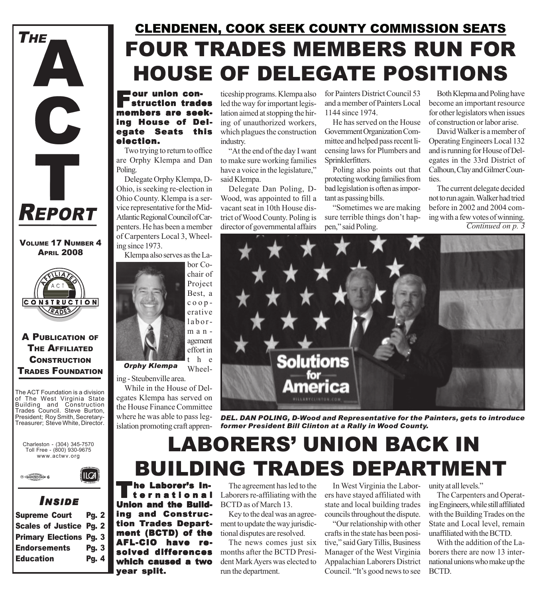

VOLUME 17 NUMBER 4 **APRIL 2008** 



A PUBLICATION OF THE AFFILIATED **CONSTRUCTION** TRADES FOUNDATION

The ACT Foundation is a division of The West Virginia State Building and Construction Trades Council. Steve Burton, President; Roy Smith, Secretary-Treasurer; Steve White, Director.





### *I NSIDE*

| <b>Scales of Justice Pg. 2</b><br><b>Primary Elections Pg. 3</b><br><b>Endorsements</b><br><b>Pg. 3</b><br>Pg. 4 | <b>Supreme Court</b> | <b>Pg. 2</b> |  |
|------------------------------------------------------------------------------------------------------------------|----------------------|--------------|--|
|                                                                                                                  |                      |              |  |
|                                                                                                                  |                      |              |  |
|                                                                                                                  |                      |              |  |
|                                                                                                                  | <b>Education</b>     |              |  |

## FOUR TRADES MEMBERS RUN FOR HOUSE OF DELEGATE POSITIONS CLENDENEN, COOK SEEK COUNTY COMMISSION SEATS

**Four union con-**<br>Struction trades<br>members are seek members are seek- members are seeking House of Delegate Seats this election.

Two trying to return to office are Orphy Klempa and Dan Poling.

Delegate Orphy Klempa, D-Ohio, is seeking re-election in Ohio County. Klempa is a service representative for the Mid-Atlantic Regional Council of Carpenters. He has been a member of Carpenters Local 3, Wheeling since 1973.

Klempa also serves as the La-



ing - Steubenville area.

While in the House of Delegates Klempa has served on the House Finance Committee where he was able to pass legislation promoting craft apprenticeship programs. Klempa also led the way for important legislation aimed at stopping the hiring of unauthorized workers, which plagues the construction industry.

"At the end of the day I want to make sure working families have a voice in the legislature," said Klempa.

Delegate Dan Poling, D-Wood, was appointed to fill a vacant seat in 10th House district of Wood County. Poling is director of governmental affairs for Painters District Council 53 and a member of Painters Local 1144 since 1974.

He has served on the House Government Organization Committee and helped pass recent licensing laws for Plumbers and Sprinklerfitters.

Poling also points out that protecting working families from bad legislation is often as important as passing bills.

"Sometimes we are making sure terrible things don't happen," said Poling.

Both Klepma and Poling have become an important resource for other legislators when issues of construction or labor arise.

David Walker is a member of Operating Engineers Local 132 and is running for House of Delegates in the 33rd District of Calhoun, Clay and Gilmer Counties.

The current delegate decided not to run again. Walker had tried before in 2002 and 2004 coming with a few votes of winning. *Continued on p. 3*



*DEL. DAN POLING, D-Wood and Representative for the Painters, gets to introduce former President Bill Clinton at a Rally in Wood County.*

## LABORERS' UNION BACK IN BUILDING TRADES DEPARTMENT

The Laborer's In-<br>ternational<br>lister and the Duid Union and the Building and Construction Trades Department (BCTD) of the AFL-CIO have resolved differences which caused a two year split.

The agreement has led to the Laborers re-affiliating with the BCTD as of March 13.

Key to the deal was an agreement to update the way jurisdictional disputes are resolved.

The news comes just six months after the BCTD President Mark Ayers was elected to run the department.

In West Virginia the Laborers have stayed affiliated with state and local building trades councils throughout the dispute.

"Our relationship with other crafts in the state has been positive," said Gary Tillis, Business Manager of the West Virginia Appalachian Laborers District Council. "It's good news to see

unity at all levels."

The Carpenters and Operating Engineers, while still affiliated with the Building Trades on the State and Local level, remain unaffiliated with the BCTD.

With the addition of the Laborers there are now 13 international unions who make up the BCTD.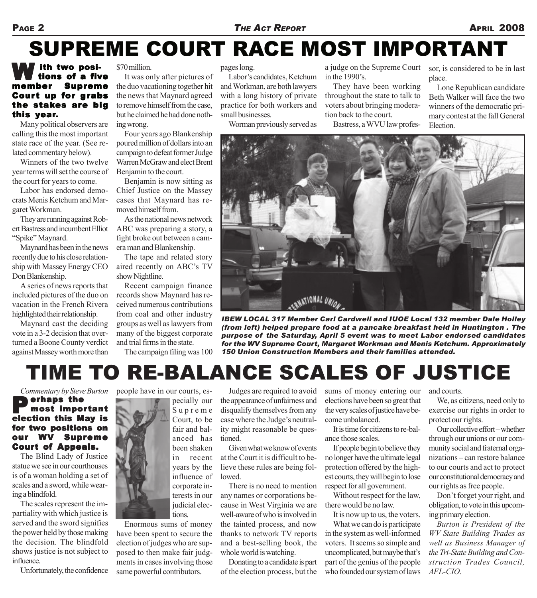#### PAGE 2 *THE ACT REPORT* **APRIL 2008**

## SUPREME COURT RACE MOST IMPORTANT

#### **W** ith two posi-<br>member Suprem tions of a five Supreme Court up for grabs the stakes are big this year.

Many political observers are calling this the most important state race of the year. (See related commentary below).

Winners of the two twelve year terms will set the course of the court for years to come.

Labor has endorsed democrats Menis Ketchum and Margaret Workman.

They are running against Robert Bastress and incumbent Elliot "Spike" Maynard.

Maynard has been in the news recently due to his close relationship with Massey Energy CEO Don Blankenship.

A series of news reports that included pictures of the duo on vacation in the French Rivera highlighted their relationship.

Maynard cast the deciding vote in a 3-2 decision that overturned a Boone County verdict against Massey worth more than

\$70 million.

It was only after pictures of the duo vacationing together hit the news that Maynard agreed to remove himself from the case, but he claimed he had done nothing wrong.

Four years ago Blankenship poured million of dollars into an campaign to defeat former Judge Warren McGraw and elect Brent Benjamin to the court.

Benjamin is now sitting as Chief Justice on the Massey cases that Maynard has removed himself from.

As the national news network ABC was preparing a story, a fight broke out between a camera man and Blankenship.

The tape and related story aired recently on ABC's TV show Nightline.

Recent campaign finance records show Maynard has received numerous contributions from coal and other industry groups as well as lawyers from many of the biggest corporate and trial firms in the state.

The campaign filing was 100

pages long.

Labor's candidates, Ketchum and Workman, are both lawyers with a long history of private practice for both workers and small businesses.

Worman previously served as

a judge on the Supreme Court in the 1990's.

They have been working throughout the state to talk to voters about bringing moderation back to the court.

Bastress, a WVU law profes-

sor, is considered to be in last place.

Lone Republican candidate Beth Walker will face the two winners of the democratic primary contest at the fall General Election.



*IBEW LOCAL 317 Member Carl Cardwell and IUOE Local 132 member Dale Holley (from left) helped prepare food at a pancake breakfast held in Huntington . The purpose of the Saturday, April 5 event was to meet Labor endorsed candidates for the WV Supreme Court, Margaret Workman and Menis Ketchum. Approximately 150 Union Construction Members and their families attended.*

## TIME TO RE-BALANCE SCALES OF JUSTICE

#### *Commentary by Steve Burton* **P** erhaps the<br>election this May is erhaps the most impor tant for two positions on our WV Supreme Court of Appeals.

The Blind Lady of Justice statue we see in our courthouses is of a woman holding a set of scales and a sword, while wearing a blindfold.

The scales represent the impartiality with which justice is served and the sword signifies the power held by those making the decision. The blindfold shows justice is not subject to influence.

Unfortunately, the confidence

people have in our courts, especially our Supreme Court, to be fair and balanced has been shaken in recent years by the influence of corporate interests in our judicial elections.

Enormous sums of money have been spent to secure the election of judges who are supposed to then make fair judgments in cases involving those same powerful contributors.

Judges are required to avoid the appearance of unfairness and disqualify themselves from any case where the Judge's neutrality might reasonable be questioned.

Given what we know of events at the Court it is difficult to believe these rules are being followed.

There is no need to mention any names or corporations because in West Virginia we are well-aware of who is involved in the tainted process, and now thanks to network TV reports and a best-selling book, the whole world is watching.

Donating to a candidate is part of the election process, but the sums of money entering our elections have been so great that the very scales of justice have become unbalanced.

It is time for citizens to re-balance those scales.

If people begin to believe they no longer have the ultimate legal protection offered by the highest courts, they will begin to lose respect for all government.

Without respect for the law, there would be no law.

It is now up to us, the voters.

What we can do is participate in the system as well-informed voters. It seems so simple and uncomplicated, but maybe that's part of the genius of the people who founded our system of laws

and courts.

We, as citizens, need only to exercise our rights in order to protect our rights.

Our collective effort – whether through our unions or our community social and fraternal organizations – can restore balance to our courts and act to protect our constitutional democracy and our rights as free people.

Don't forget your right, and obligation, to vote in this upcoming primary election.

*Burton is President of the WV State Building Trades as well as Business Manager of the Tri-State Building and Construction Trades Council, AFL-CIO.*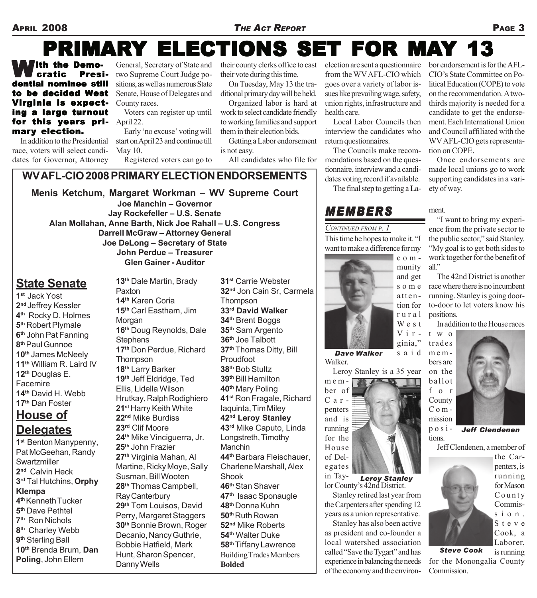### APRIL 2008 *THE ACT REPORT* PAGE 3

## PRIMARY ELECTIONS SET FOR MAY 13

**With the Demo-<br>Cratic Presi**cratic dential nominee still to be decided West Virginia is expecting a large turnout for this years pri-  $\text{April } 22$ . mary election.

In addition to the Presidential race, voters will select candidates for Governor, Attorney

General, Secretary of State and two Supreme Court Judge positions, as well as numerous State Senate, House of Delegates and County races.

Voters can register up until

Early 'no excuse' voting will start on April 23 and continue till May 10.

Registered voters can go to

their county clerks office to cast their vote during this time.

On Tuesday, May 13 the traditional primary day will be held.

Organized labor is hard at work to select candidate friendly to working families and support them in their election bids.

Getting a Labor endorsement is not easy.

All candidates who file for

### **WV AFL-CIO 2008 PRIMARY ELECTION ENDORSEMENTS**

**Menis Ketchum, Margaret Workman – WV Supreme Court Joe Manchin – Governor Jay Rockefeller – U.S. Senate Alan Mollahan, Anne Barth, Nick Joe Rahall – U.S. Congress Darrell McGraw – Attorney General Joe DeLong – Secretary of State John Perdue – Treasurer Glen Gainer - Auditor**

**13th** Dale Martin, Brady

Paxton

### **State Senate**

**1st** Jack Yost **2nd** Jeffrey Kessler **4th** Rocky D. Holmes **5th** Robert Plymale **6th** John Pat Fanning **8th** Paul Gunnoe **10th** James McNeely **11th** William R. Laird IV **12th** Douglas E. **Facemire 14th** David H. Webb **17th** Dan Foster

### **House of Delegates**

**1s**t Benton Manypenny, Pat McGeehan, Randy **Swartzmiller 2nd** Calvin Heck **3rd** Tal Hutchins, **Orphy Klempa 4th** Kenneth Tucker **5th** Dave Pethtel **7th** Ron Nichols **8th** Charley Webb **9th** Sterling Ball **10th** Brenda Brum, **Dan Poling**, John Ellem

**14th** Karen Coria **15th** Carl Eastham, Jim Morgan **16th** Doug Reynolds, Dale **Stephens 17th** Don Perdue, Richard **Thompson 18th** Larry Barker **19th** Jeff Eldridge, Ted Ellis, Lidella Wilson Hrutkay, Ralph Rodighiero **21st** Harry Keith White **22nd** Mike Burdiss **23rd** Clif Moore **24th** Mike Vinciguerra, Jr. **25th** John Frazier **27th** Virginia Mahan, Al Martine, Ricky Moye, Sally Susman, Bill Wooten **28th** Thomas Campbell, Ray Canterbury **29th** Tom Louisos, David Perry, Margaret Staggers **30th** Bonnie Brown, Roger Decanio, Nancy Guthrie, Bobbie Hatfield, Mark Hunt, Sharon Spencer, Danny Wells

**31s**<sup>t</sup> Carrie Webster **32nd** Jon Cain Sr, Carmela **Thompson 33rd David Walker 34th** Brent Boggs **35th** Sam Argento **36th** Joe Talbott **37th** Thomas Ditty, Bill Proudfoot **38th** Bob Stultz **39th** Bill Hamilton **40th** Mary Poling **41st** Ron Fragale, Richard Iaquinta, Tim Miley **42nd Leroy Stanley 43rd** Mike Caputo, Linda Longstreth, Timothy Manchin **44th** Barbara Fleischauer, Charlene Marshall, Alex Shook **46th** Stan Shaver **47th** Isaac Sponaugle **48th** Donna Kuhn **50th** Ruth Rowan **52nd** Mike Roberts **54th** Walter Duke **58th** Tiffany Lawrence Building Trades Members **Bolded**

election are sent a questionnaire from the WV AFL-CIO which goes over a variety of labor issues like prevailing wage, safety, union rights, infrastructure and health care.

Local Labor Councils then interview the candidates who return questionnaires.

The Councils make recommendations based on the questionnaire, interview and a candidates voting record if available.

The final step to getting a La-

### *MEMBERS*

### *CONTINUED FROM P. 1*

This time he hopes to make it. "I want to make a difference for my

> community and get some attention for rural West Virginia,"

> > said

Walker. *Dave Walker*

Leroy Stanley is a 35 year



lor County's 42nd District. *Leroy Stanley*

Stanley retired last year from the Carpenters after spending 12 years as a union representative.

Stanley has also been active as president and co-founder a local watershed association called "Save the Tygart" and has experience in balancing the needs of the economy and the environbor endorsement is for the AFL-CIO's State Committee on Political Education (COPE) to vote on the recommendation. A twothirds majority is needed for a candidate to get the endorsement. Each International Union and Council affiliated with the WV AFL-CIO gets representation on COPE.

Once endorsements are made local unions go to work supporting candidates in a variety of way.

ment.

"I want to bring my experience from the private sector to the public sector," said Stanley. "My goal is to get both sides to work together for the benefit of all."

The 42nd District is another race where there is no incumbent running. Stanley is going doorto-door to let voters know his positions.

In addition to the House races



 $posi$ tions. *Jeff Clendenen*

Jeff Clendenen, a member of



County Commission. Steve Cook, a Laborer, is running

the Carpenters, is running for Mason

for the Monongalia County **Commission**